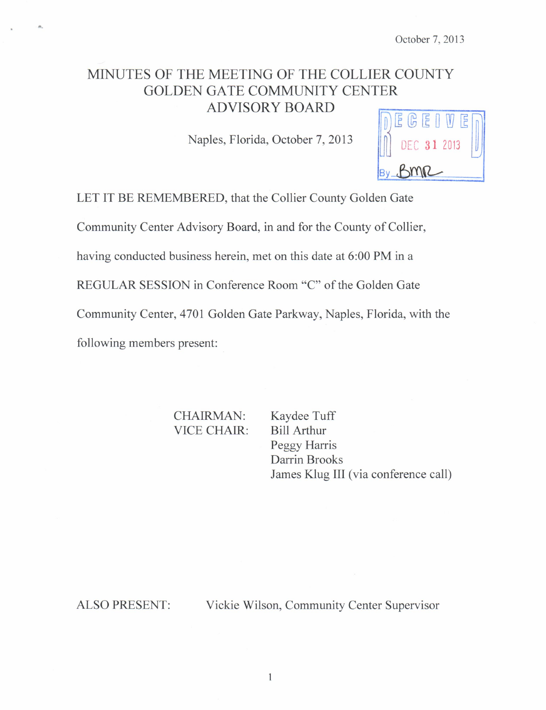# MINUTES OF THE MEETING OF THE COLLIER COUNTY GOLDEN GATE COMMUNITY CENTER **ADVISORY BOARD**

Naples, Florida, October 7, 2013



LET IT BE REMEMBERED, that the Collier County Golden Gate

Community Center Advisory Board, in and for the County of Collier,

having conducted business herein, met on this date at 6:00 PM in a

REGULAR SESSION in Conference Room "C" of the Golden Gate

Community Center, 4701 Golden Gate Parkway, Naples, Florida, with the

following members present:

CHAIRMAN: Kaydee Tuff VICE CHAIR: Bill Arthur

Peggy Harris Darrin Brooks James Klug III (via conference call)

ALSO PRESENT: Vickie Wilson, Community Center Supervisor

I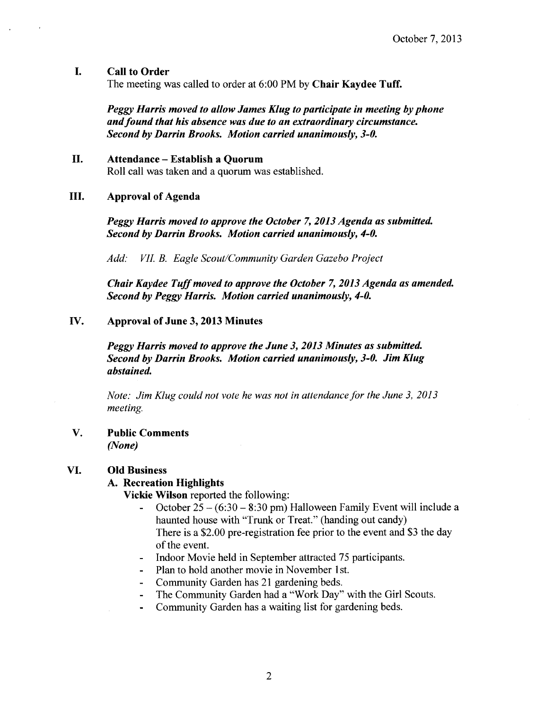### I. Call to Order

The meeting was called to order at 6:00 PM by Chair Kaydee Tuff.

Peggy Harris moved to allow James Klug to participate in meeting by phone and found that his absence was due to an extraordinary circumstance. Second by Darrin Brooks. Motion carried unanimously, 3-0.

### II. Attendance — Establish <sup>a</sup> Quorum

Roll call was taken and a quorum was established.

#### III. Approval of Agenda

Peggy Harris moved to approve the October 7, 2013 Agenda as submitted. Second by Darrin Brooks. Motion carried unanimously, 4-0.

Add: VII. B. Eagle Scout/Community Garden Gazebo Project

Chair Kaydee Tuffmoved to approve the October 7, 2013 Agenda as amended. Second by Peggy Harris. Motion carried unanimously, 4-0.

## IV. Approval of June 3, 2013 Minutes

Peggy Harris moved to approve the June 3, 2013 Minutes as submitted. Second by Darrin Brooks. Motion carried unanimously, 3-0. Jim Klug abstained.

Note: Jim Klug could not vote he was not in attendance for the June 3, 2013 meeting.

#### V. Public Comments None)

#### VI. Old Business

#### A. Recreation Highlights

Vickie Wilson reported the following:

- October  $25 (6:30 8:30)$  pm) Halloween Family Event will include a  $\blacksquare$ haunted house with "Trunk or Treat." (handing out candy) There is a \$2.00 pre-registration fee prior to the event and \$3 the day of the event.
- Indoor Movie held in September attracted 75 participants.
- Plan to hold another movie in November 1st.
- Community Garden has 21 gardening beds.
- The Community Garden had a "Work Day" with the Girl Scouts.
- Community Garden has a waiting list for gardening beds.  $\blacksquare$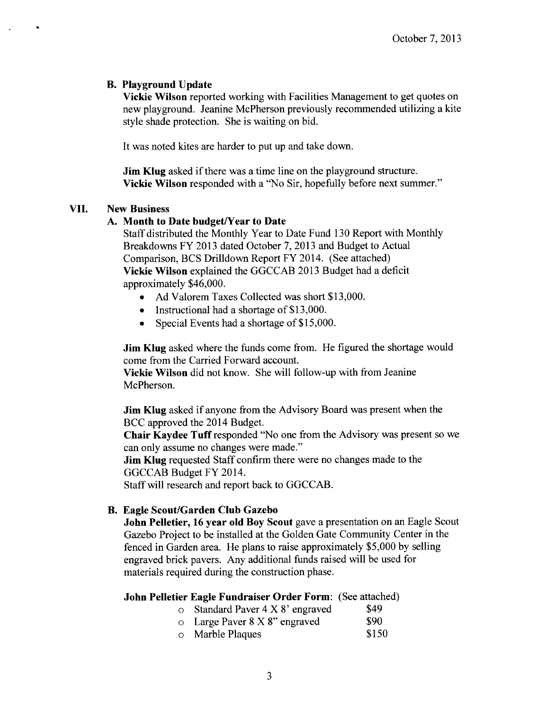## B. Playground Update

Vickie Wilson reported working with Facilities Management to get quotes on new playground. Jeanine McPherson previously recommended utilizing a kite style shade protection. She is waiting on bid.

It was noted kites are harder to put up and take down.

**Jim Klug** asked if there was a time line on the playground structure. Vickie Wilson responded with a "No Sir, hopefully before next summer."

# VII. New Business

 $\Delta$ 

# A. Month to Date budget/Year to Date

Staff distributed the Monthly Year to Date Fund 130 Report with Monthly Breakdowns FY 2013 dated October 7, 2013 and Budget to Actual Comparison, BCS Drilldown Report FY 2014. ( See attached) Vickie Wilson explained the GGCCAB 2013 Budget had a deficit approximately \$46,000.

- Ad Valorem Taxes Collected was short \$13,000.
- Instructional had a shortage of \$13,000.
- Special Events had a shortage of \$15,000.

**Jim Klug** asked where the funds come from. He figured the shortage would come from the Carried Forward account.

Vickie Wilson did not know. She will follow -up with from Jeanine McPherson.

**Jim Klug** asked if anyone from the Advisory Board was present when the BCC approved the 2014 Budget.

Chair Kaydee Tuff responded " No one from the Advisory was present so we can only assume no changes were made."

**Jim Klug** requested Staff confirm there were no changes made to the GGCCAB Budget FY 2014.

Staff will research and report back to GGCCAB.

# B. Eagle Scout/Garden Club Gazebo

John Pelletier, 16 year old Boy Scout gave a presentation on an Eagle Scout Gazebo Project to be installed at the Golden Gate Community Center in the fenced in Garden area. He plans to raise approximately \$5, 000 by selling engraved brick pavers. Any additional funds raised will be used for materials required during the construction phase.

## John Pelletier Eagle Fundraiser Order Form: ( See attached)

- $\circ$  Standard Paver 4 X 8' engraved \$49
- $\circ$  Large Paver 8 X 8" engraved \$90
- o Marble Plaques \$150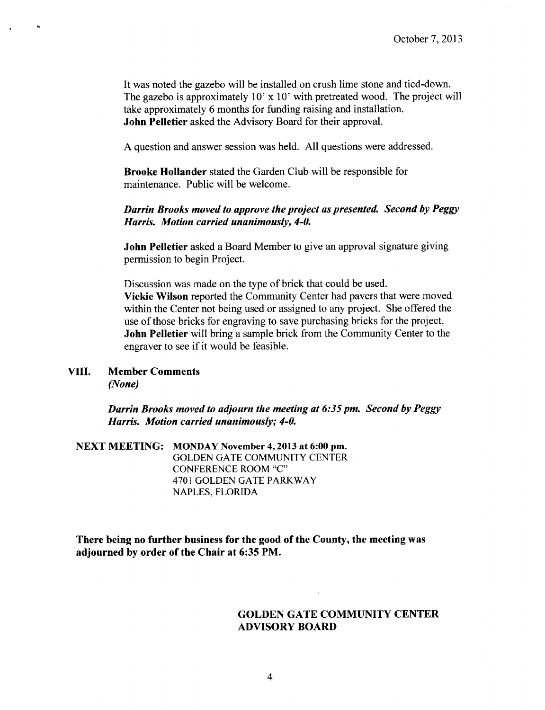It was noted the gazebo will be installed on crush lime stone and tied -down. The gazebo is approximately 10' x 10' with pretreated wood. The project will take approximately 6 months for funding raising and installation. John Pelletier asked the Advisory Board for their approval.

A question and answer session was held. All questions were addressed.

Brooke Hollander stated the Garden Club will be responsible for maintenance. Public will be welcome.

## Darrin Brooks moved to approve the project as presented. Second by Peggy Harris. Motion carried unanimously, 4-0.

John Pelletier asked a Board Member to give an approval signature giving permission to begin Project.

Discussion was made on the type of brick that could be used. Vickie Wilson reported the Community Center had pavers that were moved within the Center not being used or assigned to any project. She offered the use of those bricks for engraving to save purchasing bricks for the project. John Pelletier will bring a sample brick from the Community Center to the engraver to see if it would be feasible.

VIII. Member Comments None)

> Darrin Brooks moved to adjourn the meeting at 6:35 pm. Second by Peggy Harris. Motion carried unanimously; 4-0.

NEXT MEETING: MONDAY November 4, 2013 at 6:00 pm. GOLDEN GATE COMMUNITY CENTER — CONFERENCE ROOM "C" 4701 GOLDEN GATE PARKWAY NAPLES, FLORIDA

There being no further business for the good of the County, the meeting was adjourned by order of the Chair at 6:35 PM.

### GOLDEN GATE COMMUNITY CENTER ADVISORY BOARD